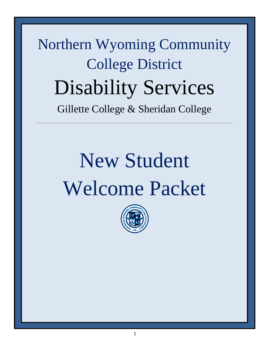Northern Wyoming Community College District Disability Services Gillette College & Sheridan College

\_\_\_\_\_\_\_\_\_\_\_\_\_\_\_\_\_\_\_\_\_\_\_\_\_\_\_\_\_\_\_\_\_\_\_\_\_\_\_\_\_\_\_\_\_\_\_\_\_\_\_\_\_\_\_\_\_\_\_\_\_\_\_\_\_\_\_\_\_\_\_\_\_\_\_\_\_\_\_\_\_\_\_\_\_\_\_\_\_\_\_\_\_\_\_\_\_\_\_\_\_\_\_\_\_\_\_\_\_\_\_\_\_\_\_\_\_\_\_\_\_\_\_\_\_\_\_\_\_\_\_\_\_\_\_\_\_\_\_\_\_\_\_\_\_\_\_\_

# New Student Welcome Packet

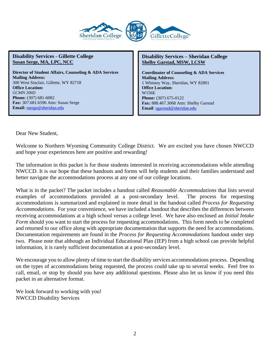

**Director of Student Affairs, Counseling & ADA Services Mailing Address:**  300 West Sinclair, Gillette, WY 82718 **Office Location:**  GCMN 206D **Phone:** (307) 681-6082 **Fax:** 307.681.6596 Attn: Susan Serge **Email:** [sserge@sheridan.edu](file:///C:/Users/rularson/AppData/Local/Microsoft/Windows/Temporary%20Internet%20Files/Content.Outlook/458MJM0S/sserge@sheridan.edu)

#### **Disability Services – Sheridan College Shelby Garstad, MSW, LCSW**

**Coordinator of Counseling & ADA Services Mailing Address:** 1 Whitney Way, Sheridan, WY 82801 **Office Location:** W156E **Phone:** (307) 675-0122 **Fax:** 888.467.3068 Attn: Shelby Garstad **Email**[: sgarstad@sheridan.edu](mailto:sgarstad@sheridan.edu)

Dear New Student,

Welcome to Northern Wyoming Community College District. We are excited you have chosen NWCCD and hope your experiences here are positive and rewarding!

The information in this packet is for those students interested in receiving accommodations while attending NWCCD. It is our hope that these handouts and forms will help students and their families understand and better navigate the accommodations process at any one of our college locations.

What is in the packet? The packet includes a handout called *Reasonable Accommodations* that lists several examples of accommodations provided at a post-secondary level. The process for requesting accommodations is summarized and explained in more detail in the handout called *Process for Requesting Accommodations*. For your convenience, we have included a handout that describes the differences between receiving accommodations at a high school versus a college level. We have also enclosed an *Initial Intake Form* should you want to start the process for requesting accommodations. This form needs to be completed and returned to our office along with appropriate documentation that supports the need for accommodations. Documentation requirements are found in the *Process for Requesting Accommodations* handout under step two. Please note that although an Individual Educational Plan (IEP) from a high school can provide helpful information, it is rarely sufficient documentation at a post-secondary level.

We encourage you to allow plenty of time to start the disability services accommodations process. Depending on the types of accommodations being requested, the process could take up to several weeks. Feel free to call, email, or stop by should you have any additional questions. Please also let us know if you need this packet in an alternative format.

We look forward to working with you! NWCCD Disability Services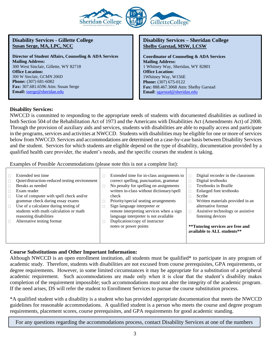

**Director of Student Affairs, Counseling & ADA Services Mailing Address:**  300 West Sinclair, Gillette, WY 82718 **Office Location:**  300 W Sinclair, GCMN 206D **Phone:** (307) 681-6082 **Fax:** 307.681.6596 Attn: Susan Serge **Email:** [sserge@sheridan.edu](file:///C:/Users/rularson/AppData/Local/Microsoft/Windows/Temporary%20Internet%20Files/Content.Outlook/458MJM0S/sserge@sheridan.edu)

#### **Disability Services – Sheridan College Shelby Garstad, MSW, LCSW**

**Coordinator of Counseling & ADA Services Mailing Address:** 1 Whitney Way, Sheridan, WY 82801 **Office Location:** 1Whitney Way, W156E **Phone:** (307) 675-0122 **Fax:** 888.467.3068 Attn: Shelby Garstad **Email**: [sgarstad@sheridan.edu](mailto:sgarstad@sheridan.edu)

#### **Disability Services:**

NWCCD is committed to responding to the appropriate needs of students with documented disabilities as outlined in both Section 504 of the Rehabilitation Act of 1973 and the Americans with Disabilities Act (Amendments Act) of 2008. Through the provision of auxiliary aids and services, students with disabilities are able to equally access and participate in the programs, services and activities at NWCCD. Students with disabilities may be eligible for one or more of services below from NWCCD. Services and accommodations are determined on a case-by-case basis between Disability Services and the student. Services for which students are eligible depend on the type of disability, documentation provided by a qualified health care provider, the student's needs, and the specific courses the student is taking.

Examples of Possible Accommodations (please note this is not a complete list):

| Extended test time<br>Quiet/distraction-reduced testing environment<br>Breaks as needed<br>Exam reader<br>Use of computer with spell check and/or<br>П<br>grammar check during essay exams<br>Use of a calculator during testing of<br>$\Box$<br>students with math calculation or math<br>reasoning disabilities<br>Alternative testing format<br>П | check<br>Sign language interpreter or<br>language interpreter is not available<br>Duplication/copy of instructor<br>notes or power points | Extended time for in-class assignments to<br>correct spelling, punctuation, grammar<br>No penalty for spelling on assignments<br>written in-class without dictionary/spell<br>Priority/special seating arrangements<br>remote interpreting services when a sign |  | Digital recorder in the classroom<br>Digital textbooks<br>Textbooks in Braille<br>Enlarged font textbooks<br>Scribe<br>Written materials provided in an<br>alternative format<br>Assistive technology or assistive<br>listening devices<br>**Tutoring services are free and<br>available to ALL students** |
|------------------------------------------------------------------------------------------------------------------------------------------------------------------------------------------------------------------------------------------------------------------------------------------------------------------------------------------------------|-------------------------------------------------------------------------------------------------------------------------------------------|-----------------------------------------------------------------------------------------------------------------------------------------------------------------------------------------------------------------------------------------------------------------|--|------------------------------------------------------------------------------------------------------------------------------------------------------------------------------------------------------------------------------------------------------------------------------------------------------------|
|------------------------------------------------------------------------------------------------------------------------------------------------------------------------------------------------------------------------------------------------------------------------------------------------------------------------------------------------------|-------------------------------------------------------------------------------------------------------------------------------------------|-----------------------------------------------------------------------------------------------------------------------------------------------------------------------------------------------------------------------------------------------------------------|--|------------------------------------------------------------------------------------------------------------------------------------------------------------------------------------------------------------------------------------------------------------------------------------------------------------|

# **Course Substitutions and Other Important Information:**

Although NWCCD is an open enrollment institution, all students must be qualified\* to participate in any program of academic study. Therefore, students with disabilities are not excused from course prerequisites, GPA requirements, or degree requirements. However, in some limited circumstances it may be appropriate for a substitution of a peripheral academic requirement. Such accommodations are made only when it is clear that the student's disability makes completion of the requirement impossible; such accommodations must not alter the integrity of the academic program. If the need arises, DS will refer the student to Enrollment Services to pursue the course substitution process.

\*A qualified student with a disability is a student who has provided appropriate documentation that meets the NWCCD guidelines for reasonable accommodations. A qualified student is a person who meets the course and degree program requirements, placement scores, course prerequisites, and GPA requirements for good academic standing.

For any questions regarding the accommodations process, contact Disability Services at one of the numbers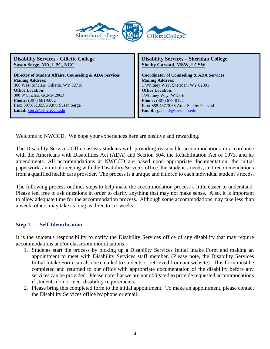

**Director of Student Affairs, Counseling & ADA Services Mailing Address:**  300 West Sinclair, Gillette, WY 82718 **Office Location:**  300 W Sinclair, GCMN 206D **Phone:** (307) 681-6082 **Fax:** 307.681.6596 Attn: Susan Serge **Email:** [sserge@sheridan.edu](file:///C:/Users/rularson/AppData/Local/Microsoft/Windows/Temporary%20Internet%20Files/Content.Outlook/458MJM0S/sserge@sheridan.edu)

**Disability Services – Sheridan College Shelby Garstad, MSW, LCSW**

**Coordinator of Counseling & ADA Services Mailing Address:** 1 Whitney Way, Sheridan, WY 82801 **Office Location:** 1Whitney Way, W156E **Phone:** (307) 675-0122 **Fax:** 888.467.3068 Attn: Shelby Garstad **Email**[: sgarstad@sheridan.edu](mailto:sgarstad@sheridan.edu)

Welcome to NWCCD. We hope your experiences here are positive and rewarding.

The Disability Services Office assists students with providing reasonable accommodations in accordance with the Americans with Disabilities Act (ADA) and Section 504, the Rehabilitation Act of 1973, and its amendments. All accommodations at NWCCD are based upon appropriate documentation, the initial paperwork, an initial meeting with the Disability Services office, the student's needs, and recommendations from a qualified health care provider. The process is a unique and tailored to each individual student's needs.

The following process outlines steps to help make the accommodation process a little easier to understand. Please feel free to ask questions in order to clarify anything that may not make sense. Also, it is important to allow adequate time for the accommodation process. Although some accommodations may take less than a week, others may take as long as three to six weeks.

# **Step 1. Self-Identification**

It is the student's responsibility to notify the Disability Services office of any disability that may require accommodations and/or classroom modifications.

- 1. Students start the process by picking up a Disability Services Initial Intake Form and making an appointment to meet with Disability Services staff member. (Please note, the Disability Services Initial Intake Form can also be emailed to students or retrieved from our website). This form must be completed and returned to our office with appropriate documentation of the disability before any services can be provided. Please note that we are not obligated to provide requested accommodations if students do not meet disability requirements.
- 2. Please bring this completed form to the initial appointment. To make an appointment, please contact the Disability Services office by phone or email.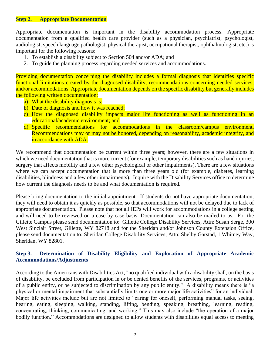#### **Step 2. Appropriate Documentation**

Appropriate documentation is important in the disability accommodation process. Appropriate documentation from a qualified health care provider (such as a physician, psychiatrist, psychologist, audiologist, speech language pathologist, physical therapist, occupational therapist, ophthalmologist, etc.) is important for the following reasons:

- 1. To establish a disability subject to Section 504 and/or ADA; and
- 2. To guide the planning process regarding needed services and accommodations.

Providing documentation concerning the disability includes a formal diagnosis that identifies specific functional limitations created by the diagnosed disability, recommendations concerning needed services, and/or accommodations. Appropriate documentation depends on the specific disability but generally includes the following written documentation:

- a) What the disability diagnosis is;
- b) Date of diagnosis and how it was reached;
- c) How the diagnosed disability impacts major life functioning as well as functioning in an educational/academic environment; and
- d) Specific recommendations for accommodations in the classroom/campus environment. Recommendations may or may not be honored, depending on reasonability, academic integrity, and in accordance with ADA.

We recommend that documentation be current within three years; however, there are a few situations in which we need documentation that is more current (for example, temporary disabilities such as hand injuries, surgery that affects mobility and a few other psychological or other impairments). There are a few situations where we can accept documentation that is more than three years old (for example, diabetes, learning disabilities, blindness and a few other impairments). Inquire with the Disability Services office to determine how current the diagnosis needs to be and what documentation is required.

Please bring documentation to the initial appointment. If students do not have appropriate documentation, they will need to obtain it as quickly as possible, so that accommodations will not be delayed due to lack of appropriate documentation. Please note that not all IEPs will work for accommodations in a college setting and will need to be reviewed on a case-by-case basis. Documentation can also be mailed to us. For the Gillette Campus please send documentation to: Gillette College Disability Services, Attn: Susan Serge, 300 West Sinclair Street, Gillette, WY 82718 and for the Sheridan and/or Johnson County Extension Office, please send documentation to: Sheridan College Disability Services, Attn: Shelby Garstad, 1 Whitney Way, Sheridan, WY 82801.

# **Step 3. Determination of Disability Eligibility and Exploration of Appropriate Academic Accommodations/Adjustments**

According to the Americans with Disabilities Act, "no qualified individual with a disability shall, on the basis of disability, be excluded from participation in or be denied benefits of the services, programs, or activities of a public entity, or be subjected to discrimination by any public entity." A disability means there is "a physical or mental impairment that substantially limits one or more major life activities" for an individual. Major life activities include but are not limited to "caring for oneself, performing manual tasks, seeing, hearing, eating, sleeping, walking, standing, lifting, bending, speaking, breathing, learning, reading, concentrating, thinking, communicating, and working." This may also include "the operation of a major bodily function." Accommodations are designed to allow students with disabilities equal access to meeting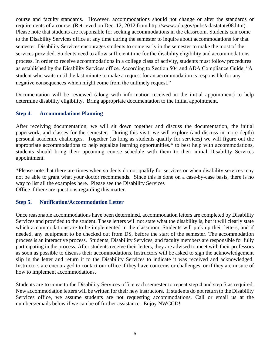course and faculty standards. However, accommodations should not change or alter the standards or requirements of a course. (Retrieved on Dec. 12, 2012 from [http://www.ada.gov/pubs/adastatute08.htm\)](http://www.ada.gov/pubs/adastatute08.htm). Please note that students are responsible for seeking accommodations in the classroom. Students can come to the Disability Services office at any time during the semester to inquire about accommodations for that semester. Disability Services encourages students to come early in the semester to make the most of the services provided. Students need to allow sufficient time for the disability eligibility and accommodations process. In order to receive accommodations in a college class of activity, students must follow procedures as established by the Disability Services office. According to Section 504 and ADA Compliance Guide, "A student who waits until the last minute to make a request for an accommodation is responsible for any negative consequences which might come from the untimely request."

Documentation will be reviewed (along with information received in the initial appointment) to help determine disability eligibility. Bring appropriate documentation to the initial appointment.

# **Step 4. Accommodations Planning**

After receiving documentation, we will sit down together and discuss the documentation, the initial paperwork, and classes for the semester. During this visit, we will explore (and discuss in more depth) personal academic challenges. Together (as long as students qualify for services) we will figure out the appropriate accommodations to help equalize learning opportunities.\* to best help with accommodations, students should bring their upcoming course schedule with them to their initial Disability Services appointment.

\*Please note that there are times when students do not qualify for services or when disability services may not be able to grant what your doctor recommends. Since this is done on a case-by-case basis, there is no way to list all the examples here. Please see the Disability Services Office if there are questions regarding this matter.

# **Step 5. Notification/Accommodation Letter**

Once reasonable accommodations have been determined, accommodation letters are completed by Disability Services and provided to the student. These letters will not state what the disability is, but it will clearly state which accommodations are to be implemented in the classroom. Students will pick up their letters, and if needed, any equipment to be checked out from DS, before the start of the semester. The accommodation process is an interactive process. Students, Disability Services, and faculty members are responsible for fully participating in the process. After students receive their letters, they are advised to meet with their professors as soon as possible to discuss their accommodations. Instructors will be asked to sign the acknowledgement slip in the letter and return it to the Disability Services to indicate it was received and acknowledged. Instructors are encouraged to contact our office if they have concerns or challenges, or if they are unsure of how to implement accommodations.

Students are to come to the Disability Services office each semester to repeat step 4 and step 5 as required. New accommodation letters will be written for their new instructors. If students do not return to the Disability Services office, we assume students are not requesting accommodations. Call or email us at the numbers/emails below if we can be of further assistance. Enjoy NWCCD!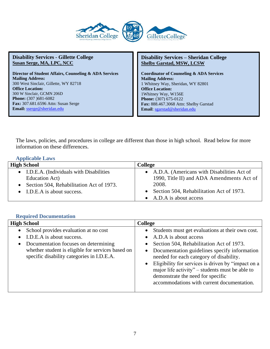

**Director of Student Affairs, Counseling & ADA Services Mailing Address:**  300 West Sinclair, Gillette, WY 82718 **Office Location:**  300 W Sinclair, GCMN 206D **Phone:** (307 )681-6082 **Fax:** 307.681.6596 Attn: Susan Serge **Email:** [sserge@sheridan.edu](file:///C:/Users/rularson/AppData/Local/Microsoft/Windows/Temporary%20Internet%20Files/Content.Outlook/458MJM0S/sserge@sheridan.edu)

**Disability Services – Sheridan College Shelby Garstad, MSW, LCSW**

**Coordinator of Counseling & ADA Services Mailing Address:** 1 Whitney Way, Sheridan, WY 82801 **Office Location:** 1Whitney Way, W156E **Phone:** (307) 675-0122 **Fax:** 888.467.3068 Attn: Shelby Garstad **Email**: [sgarstad@sheridan.edu](mailto:sgarstad@sheridan.edu)

The laws, policies, and procedures in college are different than those in high school. Read below for more information on these differences.

#### **Applicable Laws**

| <b>High School</b>                        | College                                      |
|-------------------------------------------|----------------------------------------------|
| • I.D.E.A. (Individuals with Disabilities | • A.D.A. (Americans with Disabilities Act of |
| Education Act)                            | 1990, Title II) and ADA Amendments Act of    |
| Section 504, Rehabilitation Act of 1973.  | 2008.                                        |
| • I.D.E.A is about success.               | Section 504, Rehabilitation Act of 1973.     |
|                                           | • A.D.A is about access                      |

# **Required Documentation**

| <b>High School</b>                                                                                                                                                                                            | <b>College</b>                                                                                                                                                                                                                                                                                                                                                                                               |
|---------------------------------------------------------------------------------------------------------------------------------------------------------------------------------------------------------------|--------------------------------------------------------------------------------------------------------------------------------------------------------------------------------------------------------------------------------------------------------------------------------------------------------------------------------------------------------------------------------------------------------------|
| School provides evaluation at no cost<br>I.D.E.A is about success.<br>Documentation focuses on determining<br>whether student is eligible for services based on<br>specific disability categories in I.D.E.A. | Students must get evaluations at their own cost.<br>A.D.A is about access<br>Section 504, Rehabilitation Act of 1973.<br>Documentation guidelines specify information<br>needed for each category of disability.<br>Eligibility for services is driven by "impact on a<br>major life activity" – students must be able to<br>demonstrate the need for specific<br>accommodations with current documentation. |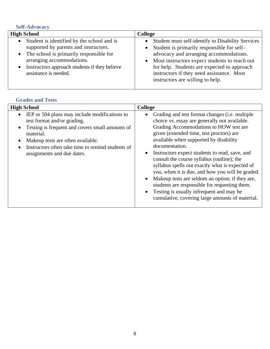# **Self-Advocacy**

| <b>High School</b>                                                                                                                                                                                                                                                | <b>College</b>                                                                                                                                                                                                                                                                                                                                                    |
|-------------------------------------------------------------------------------------------------------------------------------------------------------------------------------------------------------------------------------------------------------------------|-------------------------------------------------------------------------------------------------------------------------------------------------------------------------------------------------------------------------------------------------------------------------------------------------------------------------------------------------------------------|
| Student is identified by the school and is<br>$\bullet$<br>supported by parents and instructors.<br>• The school is primarily responsible for<br>arranging accommodations.<br>Instructors approach students if they believe<br>$\bullet$<br>assistance is needed. | Student must self-identify to Disability Services<br>$\bullet$<br>Student is primarily responsible for self-<br>$\bullet$<br>advocacy and arranging accommodations.<br>Most instructors expect students to reach out<br>$\bullet$<br>for help. Students are expected to approach<br>instructors if they need assistance. Most<br>instructors are willing to help. |

# **Grades and Tests**

| <b>High School</b>                                                                                                                                                                                                                                                                                                       | <b>College</b>                                                                                                                                                                                                                                                                                                                                                                                                                                                                                                                                                                                                                                                      |
|--------------------------------------------------------------------------------------------------------------------------------------------------------------------------------------------------------------------------------------------------------------------------------------------------------------------------|---------------------------------------------------------------------------------------------------------------------------------------------------------------------------------------------------------------------------------------------------------------------------------------------------------------------------------------------------------------------------------------------------------------------------------------------------------------------------------------------------------------------------------------------------------------------------------------------------------------------------------------------------------------------|
| IEP or 504 plans may include modifications to<br>$\bullet$<br>test format and/or grading.<br>Testing is frequent and covers small amounts of<br>$\bullet$<br>material.<br>Makeup tests are often available.<br>$\bullet$<br>Instructors often take time to remind students of<br>$\bullet$<br>assignments and due dates. | Grading and test format changes ( <i>i.e.</i> multiple<br>choice vs. essay are generally not available.<br>Grading Accommodations to HOW test are<br>given (extended time, test proctors) are<br>available when supported by disability<br>documentation.<br>Instructors expect students to read, save, and<br>consult the course syllabus (outline); the<br>syllabus spells out exactly what is expected of<br>you, when it is due, and how you will be graded.<br>Makeup tests are seldom an option; if they are,<br>students are responsible for requesting them.<br>Testing is usually infrequent and may be<br>cumulative, covering large amounts of material. |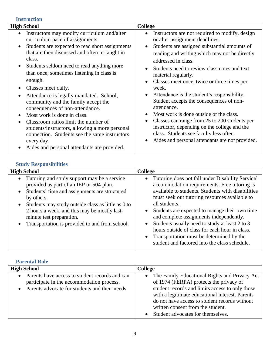**Instruction High School College** • Instructors may modify curriculum and/alter curriculum pace of assignments. • Students are expected to read short assignments that are then discussed and often re-taught in class. • Students seldom need to read anything more than once; sometimes listening in class is enough. • Classes meet daily. • Attendance is legally mandated. School, community and the family accept the consequences of non-attendance. • Most work is done in class. • Classroom ratios limit the number of students/instructors, allowing a more personal connection. Students see the same instructors every day. • Aides and personal attendants are provided. • Instructors are not required to modify, design or alter assignment deadlines. • Students are assigned substantial amounts of reading and writing which may not be directly addressed in class. • Students need to review class notes and text material regularly. • Classes meet once, twice or three times per week. • Attendance is the student's responsibility. Student accepts the consequences of nonattendance. • Most work is done outside of the class. • Classes can range from 25 to 200 students per instructor, depending on the college and the class. Students see faculty less often. • Aides and personal attendants are not provided.

# **Study Responsibilities**

| <b>High School</b>                                                                                                                                                                                                                                                                                                                                                  | <b>College</b>                                                                                                                                                                                                                                                                                                                                                                                                                                                                                                                                                            |
|---------------------------------------------------------------------------------------------------------------------------------------------------------------------------------------------------------------------------------------------------------------------------------------------------------------------------------------------------------------------|---------------------------------------------------------------------------------------------------------------------------------------------------------------------------------------------------------------------------------------------------------------------------------------------------------------------------------------------------------------------------------------------------------------------------------------------------------------------------------------------------------------------------------------------------------------------------|
| Tutoring and study support may be a service<br>$\bullet$<br>provided as part of an IEP or 504 plan.<br>Students' time and assignments are structured<br>$\bullet$<br>by others.<br>Students may study outside class as little as 0 to<br>2 hours a week, and this may be mostly last-<br>minute test preparation.<br>Transportation is provided to and from school. | Tutoring does not fall under Disability Service'<br>$\bullet$<br>accommodation requirements. Free tutoring is<br>available to students. Students with disabilities<br>must seek out tutoring resources available to<br>all students.<br>Students are expected to manage their own time<br>$\bullet$<br>and complete assignments independently.<br>Students usually need to study at least 2 to 3<br>$\bullet$<br>hours outside of class for each hour in class.<br>Transportation must be determined by the<br>$\bullet$<br>student and factored into the class schedule. |

# **Parental Role**

| <b>High School</b>                                                                                                                               | <b>College</b>                                                                                                                                                                                                                                                                                                                                      |
|--------------------------------------------------------------------------------------------------------------------------------------------------|-----------------------------------------------------------------------------------------------------------------------------------------------------------------------------------------------------------------------------------------------------------------------------------------------------------------------------------------------------|
| • Parents have access to student records and can<br>participate in the accommodation process.<br>• Parents advocate for students and their needs | The Family Educational Rights and Privacy Act<br>$\bullet$<br>of 1974 (FERPA) protects the privacy of<br>student records and limits access to only those<br>with a legitimate educational interest. Parents<br>do not have access to student records without<br>written consent from the student.<br>Student advocates for themselves.<br>$\bullet$ |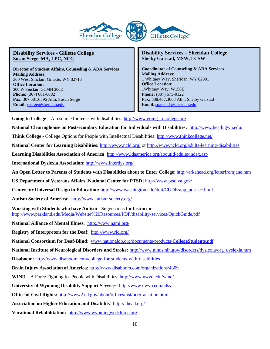

**Director of Student Affairs, Counseling & ADA Services Mailing Address:**  300 West Sinclair, Gillette, WY 82718 **Office Location:**  300 W Sinclair, GCMN 206D **Phone:** (307) 681-6082 **Fax:** 307.681.6596 Attn: Susan Serge **Email:** [sserge@sheridan.edu](file:///C:/Users/rularson/AppData/Local/Microsoft/Windows/Temporary%20Internet%20Files/Content.Outlook/458MJM0S/sserge@sheridan.edu)

#### **Disability Services – Sheridan College Shelby Garstad, MSW, LCSW**

**Coordinator of Counseling & ADA Services Mailing Address:** 1 Whitney Way, Sheridan, WY 82801 **Office Location:** 1Whitney Way, W156E **Phone:** (307) 675-0122 **Fax:** 888.467.3068 Attn: Shelby Garstad **Email**: [sgarstad@sheridan.edu](mailto:sgarstad@sheridan.edu)

**Going to College** – A resource for teens with disabilities: [http://www.going-to-college.org](http://www.going-to-college.org/)

**National Clearinghouse on Postsecondary Education for Individuals with Disabilities:** <http://www.heath.gwu.edu/>

**Think College -** College Options for People with Intellectual Disabilities:<http://www.thinkcollege.net/>

**National Center for Learning Disabilities:** <http://www.ncld.org/> or<http://www.ncld.org/adults-learning-disabilities>

**Learning Disabilities Association of America**:<http://www.ldaamerica.org/aboutld/adults/index.asp>

**International Dyslexia Association**:<http://www.interdys.org/>

**An Open Letter to Parents of Students with Disabilities about to Enter College**[: http://arkahead.org/letterfromjane.htm](http://arkahead.org/letterfromjane.htm)

**US Department of Veterans Affairs [National Center for PTSD]** <http://www.ptsd.va.gov/>

**Center for Universal Design in Education:** [http://www.washington.edu/doit/CUDE/app\\_postsec.html](http://www.washington.edu/doit/CUDE/app_postsec.html)

**Autism Society of America:** <http://www.autism-society.org/>

**Working with Students who have Autism** - Suggestions for Instructors: <http://www.parkland.edu/Media/Website%20Resources/PDF/disability-services/QuickGuide.pdf>

**National Alliance of Mental Illness**: <http://www.nami.org/>

**Registry of Interpreters for the Deaf**:<http://www.rid.org/>

**National Consortium for Deaf-Blind**: [www.nationaldb.org/documents/products/](http://www.nationaldb.org/documents/products/CollegeStudents.pdf)**CollegeStudents**.pdf

**National Institute of Neurological Disorders and Stroke:** [http://www.ninds.nih.gov/disorders/dyslexia/org\\_dyslexia.htm](http://www.ninds.nih.gov/disorders/dyslexia/org_dyslexia.htm)

**Disaboom**:<http://www.disaboom.com/college-for-students-with-disabilities>

**Brain Injury Association of America**[: http://www.disaboom.com/organizations/4309](http://www.disaboom.com/organizations/4309)

**WIND** – A Force Fighting for People with Disabilities:<http://www.uwyo.edu/wind/>

**University of Wyoming Disability Support Services**: <http://www.uwyo.edu/udss>

**Office of Civil Rights:** <http://www2.ed.gov/about/offices/list/ocr/transition.html>

**Association on Higher Education and Disability**:<http://ahead.org/>

**Vocational Rehabilitation:** http://www.wyomingworkforce.org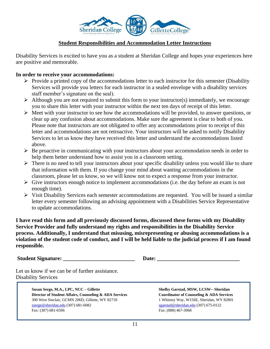

# **Student Responsibilities and Accommodation Letter Instructions**

Disability Services is excited to have you as a student at Sheridan College and hopes your experiences here are positive and memorable.

# **In order to receive your accommodations:**

- ➢ Provide a printed copy of the accommodations letter to each instructor for this semester (Disability Services will provide you letters for each instructor in a sealed envelope with a disability services staff member's signature on the seal).
- $\triangleright$  Although you are not required to submit this form to your instructor(s) immediately, we encourage you to share this letter with your instructor within the next ten days of receipt of this letter.
- ➢ Meet with your instructor to see how the accommodations will be provided, to answer questions, or clear up any confusion about accommodations. Make sure the agreement is clear to both of you. Please note that instructors are not obligated to offer any accommodations prior to receipt of this letter and accommodations are not retroactive. Your instructors will be asked to notify Disability Services to let us know they have received this letter and understand the accommodations listed above.
- $\triangleright$  Be proactive in communicating with your instructors about your accommodation needs in order to help them better understand how to assist you in a classroom setting.
- ➢ There is no need to tell your instructors about your specific disability unless you would like to share that information with them. If you change your mind about wanting accommodations in the classroom, please let us know, so we will know not to expect a response from your instructor.
- $\triangleright$  Give instructors enough notice to implement accommodations (i.e. the day before an exam is not enough time).
- ➢ Visit Disability Services each semester accommodations are requested. You will be issued a similar letter every semester following an advising appointment with a Disabilities Service Representative to update accommodations.

**I have read this form and all previously discussed forms, discussed these forms with my Disability Service Provider and fully understand my rights and responsibilities in the Disability Service process. Additionally, I understand that misusing, misrepresenting or abusing accommodations is a violation of the student code of conduct, and I will be held liable to the judicial process if I am found responsible.** 

**Student Signature: and Signature: and Date: Date: Date: Contained By 2008** 

Let us know if we can be of further assistance. Disability Services

> **Susan Serge, M.A., LPC, NCC – Gillette Shelby Garstad, MSW, LCSW-- Sheridan Director of Student Affairs, Counseling & ADA Services Coordinator of Counseling & ADA Services** 300 West Sinclair, GCMN 206D, Gillette, WY 82718 1 Whitney Way, W156E, Sheridan, WY 82801 [sserge@sheridan.edu](mailto:sserge@sheridan.edu) (307) 681-6082 [sgarstad@sheridan.edu](mailto:sgarstad@sheridan.edu) (307) 675-0122 Fax: (307) 681-6596 Fax: (888) 467-3068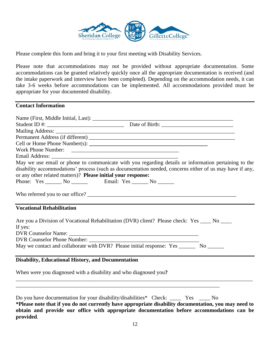

Please complete this form and bring it to your first meeting with Disability Services.

Please note that accommodations may not be provided without appropriate documentation. Some accommodations can be granted relatively quickly once all the appropriate documentation is received (and the intake paperwork and interview have been completed). Depending on the accommodation needs, it can take 3-6 weeks before accommodations can be implemented. All accommodations provided must be appropriate for your documented disability.

#### **Contact Information**

| Work Phone Number:                                                                                                                                                                                                                                                                                                        |                                                                                                          |
|---------------------------------------------------------------------------------------------------------------------------------------------------------------------------------------------------------------------------------------------------------------------------------------------------------------------------|----------------------------------------------------------------------------------------------------------|
| Email Address: Land and Address and Address and Address and Address and Address and Address and Address and Address and Address and Address and Address and Address and Address and Address and Address and Address and Addres                                                                                            |                                                                                                          |
|                                                                                                                                                                                                                                                                                                                           | May we use email or phone to communicate with you regarding details or information pertaining to the     |
|                                                                                                                                                                                                                                                                                                                           | disability accommodations' process (such as documentation needed, concerns either of us may have if any, |
| or any other related matters)? Please initial your response:                                                                                                                                                                                                                                                              |                                                                                                          |
|                                                                                                                                                                                                                                                                                                                           |                                                                                                          |
|                                                                                                                                                                                                                                                                                                                           |                                                                                                          |
| <b>Vocational Rehabilitation</b>                                                                                                                                                                                                                                                                                          |                                                                                                          |
| Are you a Division of Vocational Rehabilitation (DVR) client? Please check: Yes ____ No ____                                                                                                                                                                                                                              |                                                                                                          |
| If yes:                                                                                                                                                                                                                                                                                                                   |                                                                                                          |
|                                                                                                                                                                                                                                                                                                                           |                                                                                                          |
| DVR Counselor Name:                                                                                                                                                                                                                                                                                                       |                                                                                                          |
| May we contact and collaborate with DVR? Please initial response: Yes ________ No _______                                                                                                                                                                                                                                 |                                                                                                          |
|                                                                                                                                                                                                                                                                                                                           |                                                                                                          |
| <b>Disability, Educational History, and Documentation</b>                                                                                                                                                                                                                                                                 |                                                                                                          |
| When were you diagnosed with a disability and who diagnosed you?                                                                                                                                                                                                                                                          |                                                                                                          |
| ,我们也不能在这里的时候,我们也不能在这里的时候,我们也不能会在这里的时候,我们也不能会在这里的时候,我们也不能会在这里的时候,我们也不能会在这里的时候,我们也不                                                                                                                                                                                                                                         |                                                                                                          |
| Do you have documentation for your disability/disabilities* Check: _____ Yes ____ No<br>$\mathbf{r}$ , and the contract of the contract of the contract of the contract of the contract of the contract of the contract of the contract of the contract of the contract of the contract of the contract of the contract o |                                                                                                          |

**\*Please note that if you do not currently have appropriate disability documentation, you may need to obtain and provide our office with appropriate documentation before accommodations can be provided**.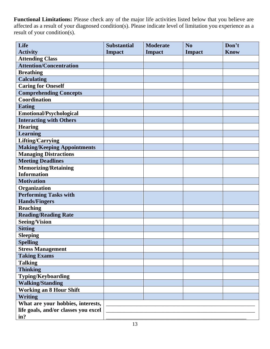**Functional Limitations:** Please check any of the major life activities listed below that you believe are affected as a result of your diagnosed condition(s). Please indicate level of limitation you experience as a result of your condition(s).

| Life                                 | <b>Substantial</b> | <b>Moderate</b> | N <sub>o</sub> | Don't       |
|--------------------------------------|--------------------|-----------------|----------------|-------------|
| <b>Activity</b>                      | <b>Impact</b>      | <b>Impact</b>   | <b>Impact</b>  | <b>Know</b> |
| <b>Attending Class</b>               |                    |                 |                |             |
| <b>Attention/Concentration</b>       |                    |                 |                |             |
| <b>Breathing</b>                     |                    |                 |                |             |
| <b>Calculating</b>                   |                    |                 |                |             |
| <b>Caring for Oneself</b>            |                    |                 |                |             |
| <b>Comprehending Concepts</b>        |                    |                 |                |             |
| <b>Coordination</b>                  |                    |                 |                |             |
| <b>Eating</b>                        |                    |                 |                |             |
| Emotional/Psychological              |                    |                 |                |             |
| <b>Interacting with Others</b>       |                    |                 |                |             |
| <b>Hearing</b>                       |                    |                 |                |             |
| <b>Learning</b>                      |                    |                 |                |             |
| <b>Lifting/Carrying</b>              |                    |                 |                |             |
| <b>Making/Keeping Appointments</b>   |                    |                 |                |             |
| <b>Managing Distractions</b>         |                    |                 |                |             |
| <b>Meeting Deadlines</b>             |                    |                 |                |             |
| <b>Memorizing/Retaining</b>          |                    |                 |                |             |
| <b>Information</b>                   |                    |                 |                |             |
| <b>Motivation</b>                    |                    |                 |                |             |
| Organization                         |                    |                 |                |             |
| <b>Performing Tasks with</b>         |                    |                 |                |             |
| <b>Hands/Fingers</b>                 |                    |                 |                |             |
| <b>Reaching</b>                      |                    |                 |                |             |
| <b>Reading/Reading Rate</b>          |                    |                 |                |             |
| <b>Seeing/Vision</b>                 |                    |                 |                |             |
| <b>Sitting</b>                       |                    |                 |                |             |
| <b>Sleeping</b>                      |                    |                 |                |             |
| <b>Spelling</b>                      |                    |                 |                |             |
| <b>Stress Management</b>             |                    |                 |                |             |
| <b>Taking Exams</b>                  |                    |                 |                |             |
| <b>Talking</b>                       |                    |                 |                |             |
| <b>Thinking</b>                      |                    |                 |                |             |
| <b>Typing/Keyboarding</b>            |                    |                 |                |             |
| <b>Walking/Standing</b>              |                    |                 |                |             |
| <b>Working an 8 Hour Shift</b>       |                    |                 |                |             |
| <b>Writing</b>                       |                    |                 |                |             |
| What are your hobbies, interests,    |                    |                 |                |             |
| life goals, and/or classes you excel |                    |                 |                |             |
| in?                                  |                    |                 |                |             |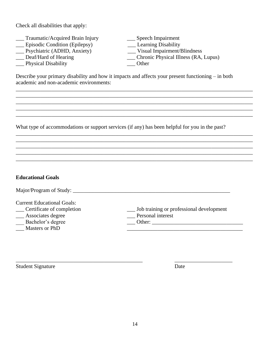Check all disabilities that apply:

- 1. Traumatic/Acquired Brain Injury 1. Speech Impairment<br>
2. Episodic Condition (Epilepsy) 1. Learning Disability
- 
- \_\_\_ Psychiatric (ADHD, Anxiety)<br>
\_\_ Deaf/Hard of Hearing
- 
- \_\_\_ Physical Disability \_\_\_ Other
- Learning Disability<br>
Learning Disability<br>
Psychiatric (ADHD, Anxiety)<br>
Learning Disability<br>
Visual Impairment/Blindness \_\_ Chronic Physical Illness (RA, Lupus)

Describe your primary disability and how it impacts and affects your present functioning – in both academic and non-academic environments:

\_\_\_\_\_\_\_\_\_\_\_\_\_\_\_\_\_\_\_\_\_\_\_\_\_\_\_\_\_\_\_\_\_\_\_\_\_\_\_\_\_\_\_\_\_\_\_\_\_\_\_\_\_\_\_\_\_\_\_\_\_\_\_\_\_\_\_\_\_\_\_\_\_\_\_\_\_\_\_\_\_\_\_\_\_\_ \_\_\_\_\_\_\_\_\_\_\_\_\_\_\_\_\_\_\_\_\_\_\_\_\_\_\_\_\_\_\_\_\_\_\_\_\_\_\_\_\_\_\_\_\_\_\_\_\_\_\_\_\_\_\_\_\_\_\_\_\_\_\_\_\_\_\_\_\_\_\_\_\_\_\_\_\_\_\_\_\_\_\_\_\_\_ \_\_\_\_\_\_\_\_\_\_\_\_\_\_\_\_\_\_\_\_\_\_\_\_\_\_\_\_\_\_\_\_\_\_\_\_\_\_\_\_\_\_\_\_\_\_\_\_\_\_\_\_\_\_\_\_\_\_\_\_\_\_\_\_\_\_\_\_\_\_\_\_\_\_\_\_\_\_\_\_\_\_\_\_\_\_ \_\_\_\_\_\_\_\_\_\_\_\_\_\_\_\_\_\_\_\_\_\_\_\_\_\_\_\_\_\_\_\_\_\_\_\_\_\_\_\_\_\_\_\_\_\_\_\_\_\_\_\_\_\_\_\_\_\_\_\_\_\_\_\_\_\_\_\_\_\_\_\_\_\_\_\_\_\_\_\_\_\_\_\_\_\_ \_\_\_\_\_\_\_\_\_\_\_\_\_\_\_\_\_\_\_\_\_\_\_\_\_\_\_\_\_\_\_\_\_\_\_\_\_\_\_\_\_\_\_\_\_\_\_\_\_\_\_\_\_\_\_\_\_\_\_\_\_\_\_\_\_\_\_\_\_\_\_\_\_\_\_\_\_\_\_\_\_\_\_\_\_\_

\_\_\_\_\_\_\_\_\_\_\_\_\_\_\_\_\_\_\_\_\_\_\_\_\_\_\_\_\_\_\_\_\_\_\_\_\_\_\_\_\_\_\_\_\_\_\_\_\_\_\_\_\_\_\_\_\_\_\_\_\_\_\_\_\_\_\_\_\_\_\_\_\_\_\_\_\_\_\_\_\_\_\_\_\_\_ \_\_\_\_\_\_\_\_\_\_\_\_\_\_\_\_\_\_\_\_\_\_\_\_\_\_\_\_\_\_\_\_\_\_\_\_\_\_\_\_\_\_\_\_\_\_\_\_\_\_\_\_\_\_\_\_\_\_\_\_\_\_\_\_\_\_\_\_\_\_\_\_\_\_\_\_\_\_\_\_\_\_\_\_\_\_ \_\_\_\_\_\_\_\_\_\_\_\_\_\_\_\_\_\_\_\_\_\_\_\_\_\_\_\_\_\_\_\_\_\_\_\_\_\_\_\_\_\_\_\_\_\_\_\_\_\_\_\_\_\_\_\_\_\_\_\_\_\_\_\_\_\_\_\_\_\_\_\_\_\_\_\_\_\_\_\_\_\_\_\_\_\_ \_\_\_\_\_\_\_\_\_\_\_\_\_\_\_\_\_\_\_\_\_\_\_\_\_\_\_\_\_\_\_\_\_\_\_\_\_\_\_\_\_\_\_\_\_\_\_\_\_\_\_\_\_\_\_\_\_\_\_\_\_\_\_\_\_\_\_\_\_\_\_\_\_\_\_\_\_\_\_\_\_\_\_\_\_\_ \_\_\_\_\_\_\_\_\_\_\_\_\_\_\_\_\_\_\_\_\_\_\_\_\_\_\_\_\_\_\_\_\_\_\_\_\_\_\_\_\_\_\_\_\_\_\_\_\_\_\_\_\_\_\_\_\_\_\_\_\_\_\_\_\_\_\_\_\_\_\_\_\_\_\_\_\_\_\_\_\_\_\_\_\_\_

What type of accommodations or support services (if any) has been helpful for you in the past?

| <b>Educational Goals</b>                                                                                                             |                                                                            |
|--------------------------------------------------------------------------------------------------------------------------------------|----------------------------------------------------------------------------|
| Major/Program of Study:                                                                                                              |                                                                            |
| <b>Current Educational Goals:</b><br>Certificate of completion<br>__ Associates degree<br>Bachelor's degree<br><b>Masters or PhD</b> | __ Job training or professional development<br>Personal interest<br>Other: |

\_\_\_\_\_\_\_\_\_\_\_\_\_\_\_\_\_\_\_\_\_\_\_\_\_\_\_\_\_\_\_\_\_\_\_\_\_\_\_\_\_\_\_\_\_\_ \_\_\_\_\_\_\_\_\_\_\_\_\_\_\_\_\_\_\_\_\_

Student Signature Date